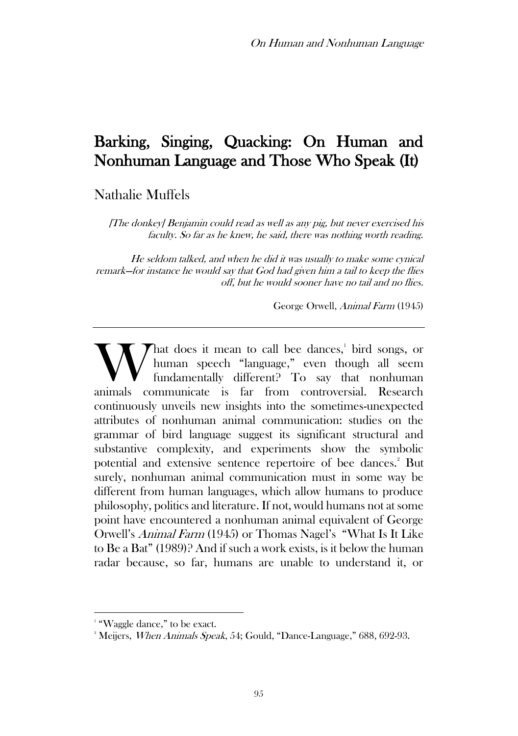# Barking, Singing, Quacking: On Human and Nonhuman Language and Those Who Speak (It)

Nathalie Muffels

[The donkey] Benjamin could read as well as any pig, but never exercised his faculty. So far as he knew, he said, there was nothing worth reading.

He seldom talked, and when he did it was usually to make some cynical remark—for instance he would say that God had given him a tail to keep the flies off, but he would sooner have no tail and no flies.

George Orwell, Animal Farm (1945)

hat does it mean to call bee dances,<sup>1</sup> bird songs, or human speech "language," even though all seem fundamentally different? To say that nonhuman What does it mean to call bee dances,<sup>1</sup> bird songs, or human speech "language," even though all seem fundamentally different? To say that nonhuman animals communicate is far from controversial. Research continuously unveils new insights into the sometimes-unexpected attributes of nonhuman animal communication: studies on the grammar of bird language suggest its significant structural and substantive complexity, and experiments show the symbolic potential and extensive sentence repertoire of bee dances.<sup>2</sup> But surely, nonhuman animal communication must in some way be different from human languages, which allow humans to produce philosophy, politics and literature. If not, would humans not at some point have encountered a nonhuman animal equivalent of George Orwell's Animal Farm (1945) or Thomas Nagel's "What Is It Like to Be a Bat" (1989)? And if such a work exists, is it below the human radar because, so far, humans are unable to understand it, or

<sup>&</sup>lt;sup>1</sup> "Waggle dance," to be exact.

<sup>&</sup>lt;sup>2</sup> Meijers, *When Animals Speak*, 54; Gould, "Dance-Language," 688, 692-93.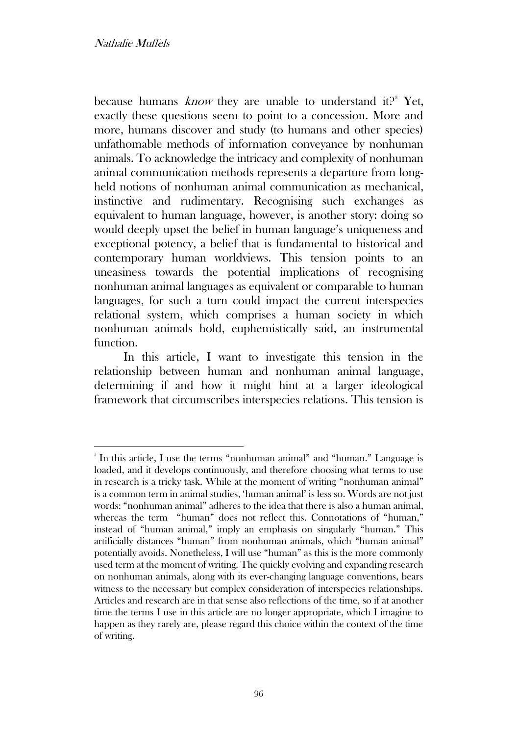because humans *know* they are unable to understand it?<sup>3</sup> Yet, exactly these questions seem to point to a concession. More and more, humans discover and study (to humans and other species) unfathomable methods of information conveyance by nonhuman animals. To acknowledge the intricacy and complexity of nonhuman animal communication methods represents a departure from longheld notions of nonhuman animal communication as mechanical, instinctive and rudimentary. Recognising such exchanges as equivalent to human language, however, is another story: doing so would deeply upset the belief in human language's uniqueness and exceptional potency, a belief that is fundamental to historical and contemporary human worldviews. This tension points to an uneasiness towards the potential implications of recognising nonhuman animal languages as equivalent or comparable to human languages, for such a turn could impact the current interspecies relational system, which comprises a human society in which nonhuman animals hold, euphemistically said, an instrumental function.

In this article, I want to investigate this tension in the relationship between human and nonhuman animal language, determining if and how it might hint at a larger ideological framework that circumscribes interspecies relations. This tension is

<sup>3</sup> In this article, I use the terms "nonhuman animal" and "human." Language is loaded, and it develops continuously, and therefore choosing what terms to use in research is a tricky task. While at the moment of writing "nonhuman animal" is a common term in animal studies, 'human animal' is less so. Words are not just words: "nonhuman animal" adheres to the idea that there is also a human animal, whereas the term "human" does not reflect this. Connotations of "human," instead of "human animal," imply an emphasis on singularly "human." This artificially distances "human" from nonhuman animals, which "human animal" potentially avoids. Nonetheless, I will use "human" as this is the more commonly used term at the moment of writing. The quickly evolving and expanding research on nonhuman animals, along with its ever-changing language conventions, bears witness to the necessary but complex consideration of interspecies relationships. Articles and research are in that sense also reflections of the time, so if at another time the terms I use in this article are no longer appropriate, which I imagine to happen as they rarely are, please regard this choice within the context of the time of writing.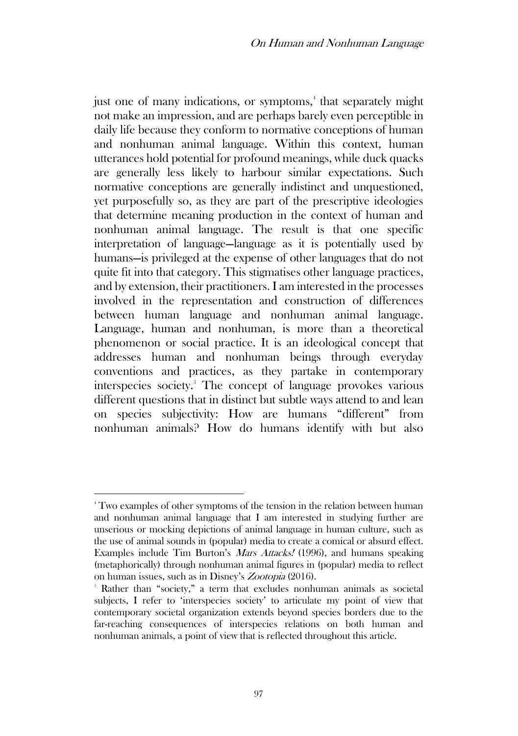just one of many indications, or symptoms,<sup>4</sup> that separately might not make an impression, and are perhaps barely even perceptible in daily life because they conform to normative conceptions of human and nonhuman animal language. Within this context, human utterances hold potential for profound meanings, while duck quacks are generally less likely to harbour similar expectations. Such normative conceptions are generally indistinct and unquestioned, yet purposefully so, as they are part of the prescriptive ideologies that determine meaning production in the context of human and nonhuman animal language. The result is that one specific interpretation of language—language as it is potentially used by humans—is privileged at the expense of other languages that do not quite fit into that category. This stigmatises other language practices, and by extension, their practitioners. I am interested in the processes involved in the representation and construction of differences between human language and nonhuman animal language. Language, human and nonhuman, is more than a theoretical phenomenon or social practice. It is an ideological concept that addresses human and nonhuman beings through everyday conventions and practices, as they partake in contemporary interspecies society.<sup>5</sup> The concept of language provokes various different questions that in distinct but subtle ways attend to and lean on species subjectivity: How are humans "different" from nonhuman animals? How do humans identify with but also

<sup>&</sup>lt;sup>4</sup> Two examples of other symptoms of the tension in the relation between human and nonhuman animal language that I am interested in studying further are unserious or mocking depictions of animal language in human culture, such as the use of animal sounds in (popular) media to create a comical or absurd effect. Examples include Tim Burton's Mars Attacks! (1996), and humans speaking (metaphorically) through nonhuman animal figures in (popular) media to reflect on human issues, such as in Disney's Zootopia (2016).

<sup>5</sup> Rather than "society," a term that excludes nonhuman animals as societal subjects, I refer to 'interspecies society' to articulate my point of view that contemporary societal organization extends beyond species borders due to the far-reaching consequences of interspecies relations on both human and nonhuman animals, a point of view that is reflected throughout this article.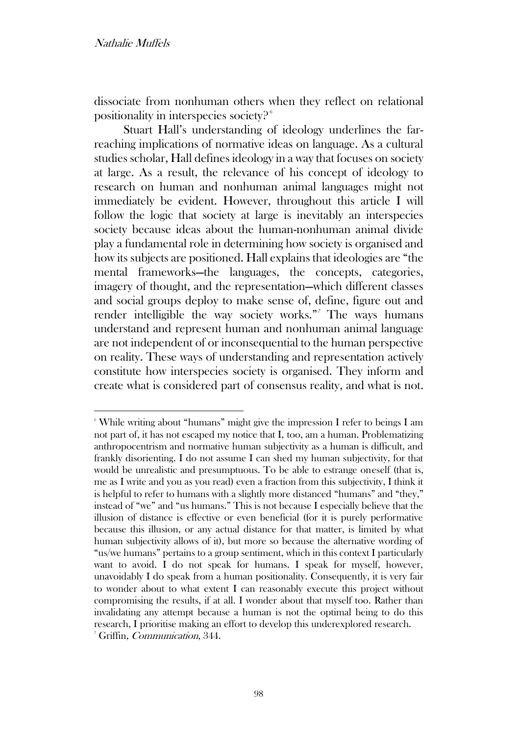dissociate from nonhuman others when they reflect on relational positionality in interspecies society? <sup>6</sup>

Stuart Hall's understanding of ideology underlines the farreaching implications of normative ideas on language. As a cultural studies scholar, Hall defines ideology in a way that focuses on society at large. As a result, the relevance of his concept of ideology to research on human and nonhuman animal languages might not immediately be evident. However, throughout this article I will follow the logic that society at large is inevitably an interspecies society because ideas about the human-nonhuman animal divide play a fundamental role in determining how society is organised and how its subjects are positioned. Hall explains that ideologies are "the mental frameworks—the languages, the concepts, categories, imagery of thought, and the representation—which different classes and social groups deploy to make sense of, define, figure out and render intelligible the way society works."<sup>7</sup> The ways humans understand and represent human and nonhuman animal language are not independent of or inconsequential to the human perspective on reality. These ways of understanding and representation actively constitute how interspecies society is organised. They inform and create what is considered part of consensus reality, and what is not.

<sup>6</sup> While writing about "humans" might give the impression I refer to beings I am not part of, it has not escaped my notice that I, too, am a human. Problematizing anthropocentrism and normative human subjectivity as a human is difficult, and frankly disorienting. I do not assume I can shed my human subjectivity, for that would be unrealistic and presumptuous. To be able to estrange oneself (that is, me as I write and you as you read) even a fraction from this subjectivity, I think it is helpful to refer to humans with a slightly more distanced "humans" and "they," instead of "we" and "us humans." This is not because I especially believe that the illusion of distance is effective or even beneficial (for it is purely performative because this illusion, or any actual distance for that matter, is limited by what human subjectivity allows of it), but more so because the alternative wording of "us/we humans" pertains to a group sentiment, which in this context I particularly want to avoid. I do not speak for humans. I speak for myself, however, unavoidably I do speak from a human positionality. Consequently, it is very fair to wonder about to what extent I can reasonably execute this project without compromising the results, if at all. I wonder about that myself too. Rather than invalidating any attempt because a human is not the optimal being to do this research, I prioritise making an effort to develop this underexplored research. <sup>7</sup> Griffin, Communication, 344.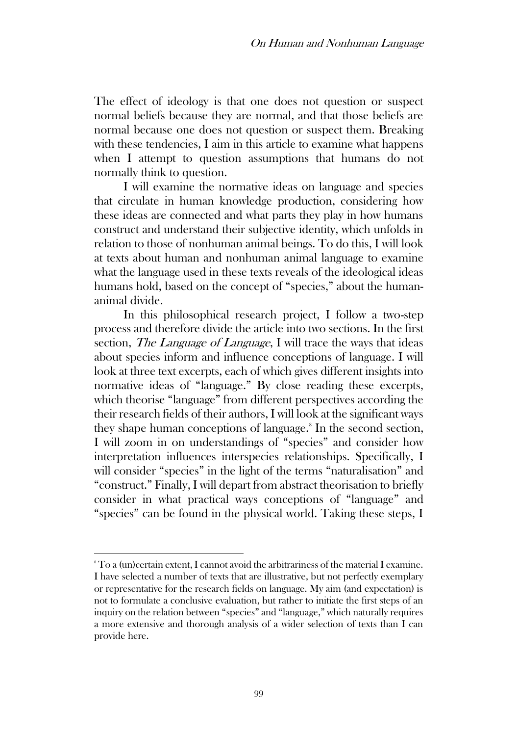The effect of ideology is that one does not question or suspect normal beliefs because they are normal, and that those beliefs are normal because one does not question or suspect them. Breaking with these tendencies, I aim in this article to examine what happens when I attempt to question assumptions that humans do not normally think to question.

I will examine the normative ideas on language and species that circulate in human knowledge production, considering how these ideas are connected and what parts they play in how humans construct and understand their subjective identity, which unfolds in relation to those of nonhuman animal beings. To do this, I will look at texts about human and nonhuman animal language to examine what the language used in these texts reveals of the ideological ideas humans hold, based on the concept of "species," about the humananimal divide.

In this philosophical research project, I follow a two-step process and therefore divide the article into two sections. In the first section, *The Language of Language*, I will trace the ways that ideas about species inform and influence conceptions of language. I will look at three text excerpts, each of which gives different insights into normative ideas of "language." By close reading these excerpts, which theorise "language" from different perspectives according the their research fields of their authors, I will look at the significant ways they shape human conceptions of language.<sup>8</sup> In the second section, I will zoom in on understandings of "species" and consider how interpretation influences interspecies relationships. Specifically, I will consider "species" in the light of the terms "naturalisation" and "construct." Finally, I will depart from abstract theorisation to briefly consider in what practical ways conceptions of "language" and "species" can be found in the physical world. Taking these steps, I

<sup>8</sup> To a (un)certain extent, I cannot avoid the arbitrariness of the material I examine. I have selected a number of texts that are illustrative, but not perfectly exemplary or representative for the research fields on language. My aim (and expectation) is not to formulate a conclusive evaluation, but rather to initiate the first steps of an inquiry on the relation between "species" and "language," which naturally requires a more extensive and thorough analysis of a wider selection of texts than I can provide here.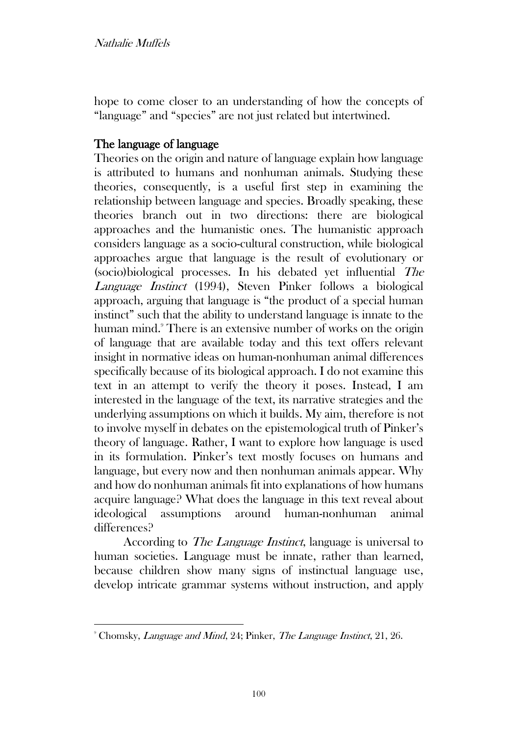hope to come closer to an understanding of how the concepts of "language" and "species" are not just related but intertwined.

# The language of language

Theories on the origin and nature of language explain how language is attributed to humans and nonhuman animals. Studying these theories, consequently, is a useful first step in examining the relationship between language and species. Broadly speaking, these theories branch out in two directions: there are biological approaches and the humanistic ones. The humanistic approach considers language as a socio-cultural construction, while biological approaches argue that language is the result of evolutionary or (socio)biological processes. In his debated yet influential The Language Instinct (1994), Steven Pinker follows a biological approach, arguing that language is "the product of a special human instinct" such that the ability to understand language is innate to the human mind.<sup>9</sup> There is an extensive number of works on the origin of language that are available today and this text offers relevant insight in normative ideas on human-nonhuman animal differences specifically because of its biological approach. I do not examine this text in an attempt to verify the theory it poses. Instead, I am interested in the language of the text, its narrative strategies and the underlying assumptions on which it builds. My aim, therefore is not to involve myself in debates on the epistemological truth of Pinker's theory of language. Rather, I want to explore how language is used in its formulation. Pinker's text mostly focuses on humans and language, but every now and then nonhuman animals appear. Why and how do nonhuman animals fit into explanations of how humans acquire language? What does the language in this text reveal about ideological assumptions around human-nonhuman animal differences?

According to *The Language Instinct*, language is universal to human societies. Language must be innate, rather than learned, because children show many signs of instinctual language use, develop intricate grammar systems without instruction, and apply

<sup>&</sup>lt;sup>9</sup> Chomsky, *Language and Mind*, 24; Pinker, *The Language Instinct*, 21, 26.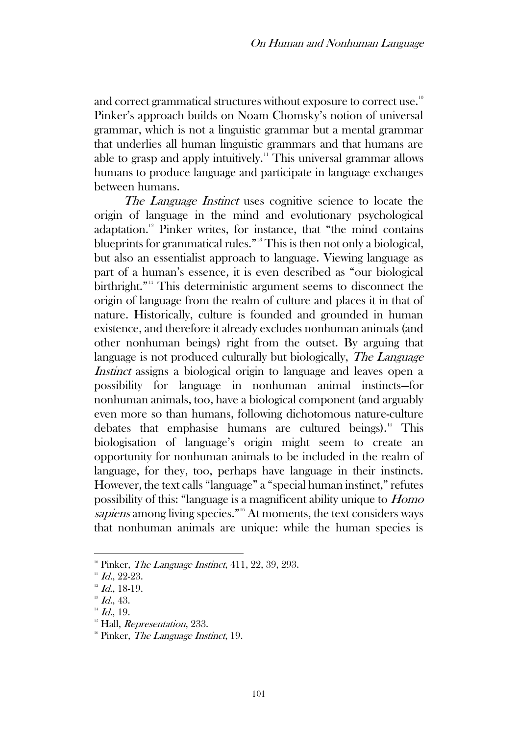and correct grammatical structures without exposure to correct use.<sup>10</sup> Pinker's approach builds on Noam Chomsky's notion of universal grammar, which is not a linguistic grammar but a mental grammar that underlies all human linguistic grammars and that humans are able to grasp and apply intuitively.<sup>11</sup> This universal grammar allows humans to produce language and participate in language exchanges between humans.

The Language Instinct uses cognitive science to locate the origin of language in the mind and evolutionary psychological adaptation.<sup>12</sup> Pinker writes, for instance, that "the mind contains" blueprints for grammatical rules."<sup>13</sup> This is then not only a biological, but also an essentialist approach to language. Viewing language as part of a human's essence, it is even described as "our biological birthright."<sup>14</sup> This deterministic argument seems to disconnect the origin of language from the realm of culture and places it in that of nature. Historically, culture is founded and grounded in human existence, and therefore it already excludes nonhuman animals (and other nonhuman beings) right from the outset. By arguing that language is not produced culturally but biologically, *The Language* Instinct assigns a biological origin to language and leaves open a possibility for language in nonhuman animal instincts—for nonhuman animals, too, have a biological component (and arguably even more so than humans, following dichotomous nature-culture debates that emphasise humans are cultured beings).<sup>15</sup> This biologisation of language's origin might seem to create an opportunity for nonhuman animals to be included in the realm of language, for they, too, perhaps have language in their instincts. However, the text calls "language" a "special human instinct," refutes possibility of this: "language is a magnificent ability unique to Homo sapiens among living species."<sup>16</sup> At moments, the text considers ways that nonhuman animals are unique: while the human species is

<sup>&</sup>lt;sup>10</sup> Pinker, *The Language Instinct*,  $411, 22, 39, 293$ .

 $11$  Id., 22-23.

 $12$  Id., 18-19.

 $13$  Id., 43.

 $14$  *Id.*, 19.

 $<sup>15</sup>$  Hall, *Representation*, 233.</sup>

<sup>&</sup>lt;sup>16</sup> Pinker, *The Language Instinct*, 19.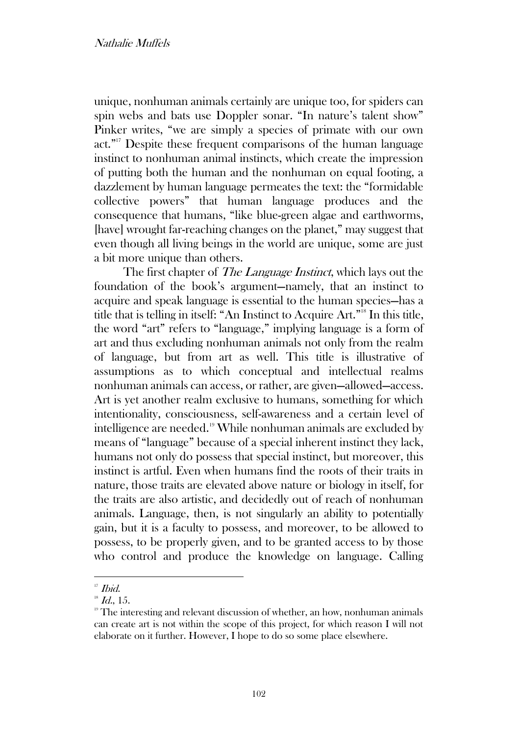unique, nonhuman animals certainly are unique too, for spiders can spin webs and bats use Doppler sonar. "In nature's talent show" Pinker writes, "we are simply a species of primate with our own act." <sup>17</sup> Despite these frequent comparisons of the human language instinct to nonhuman animal instincts, which create the impression of putting both the human and the nonhuman on equal footing, a dazzlement by human language permeates the text: the "formidable collective powers" that human language produces and the consequence that humans, "like blue-green algae and earthworms, [have] wrought far-reaching changes on the planet," may suggest that even though all living beings in the world are unique, some are just a bit more unique than others.

The first chapter of *The Language Instinct*, which lays out the foundation of the book's argument—namely, that an instinct to acquire and speak language is essential to the human species—has a title that is telling in itself: "An Instinct to Acquire Art."<sup>18</sup> In this title, the word "art" refers to "language," implying language is a form of art and thus excluding nonhuman animals not only from the realm of language, but from art as well. This title is illustrative of assumptions as to which conceptual and intellectual realms nonhuman animals can access, or rather, are given—allowed—access. Art is yet another realm exclusive to humans, something for which intentionality, consciousness, self-awareness and a certain level of intelligence are needed.<sup>19</sup> While nonhuman animals are excluded by means of "language" because of a special inherent instinct they lack, humans not only do possess that special instinct, but moreover, this instinct is artful. Even when humans find the roots of their traits in nature, those traits are elevated above nature or biology in itself, for the traits are also artistic, and decidedly out of reach of nonhuman animals. Language, then, is not singularly an ability to potentially gain, but it is a faculty to possess, and moreover, to be allowed to possess, to be properly given, and to be granted access to by those who control and produce the knowledge on language. Calling

<sup>&</sup>lt;sup>17</sup> Ibid.

 $18$  Id., 15.

<sup>&</sup>lt;sup>19</sup> The interesting and relevant discussion of whether, an how, nonhuman animals can create art is not within the scope of this project, for which reason I will not elaborate on it further. However, I hope to do so some place elsewhere.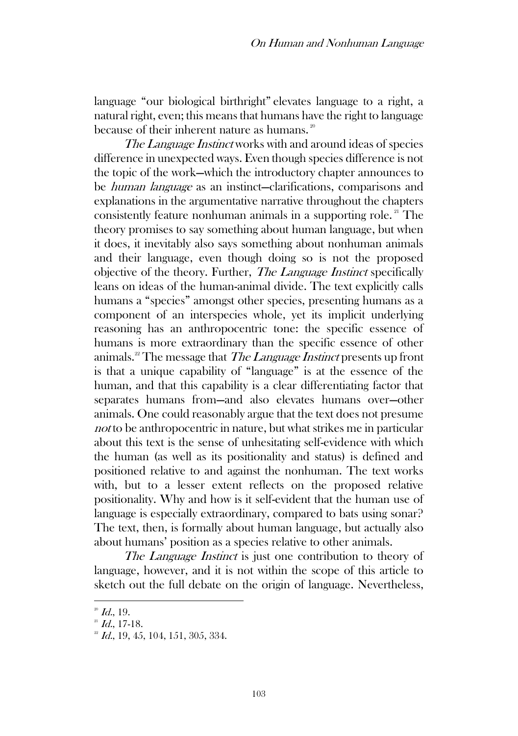language "our biological birthright" elevates language to a right, a natural right, even; this means that humans have the right to language because of their inherent nature as humans.<sup>20</sup>

The Language Instinct works with and around ideas of species difference in unexpected ways. Even though species difference is not the topic of the work—which the introductory chapter announces to be human language as an instinct—clarifications, comparisons and explanations in the argumentative narrative throughout the chapters consistently feature nonhuman animals in a supporting role.<sup>21</sup> The theory promises to say something about human language, but when it does, it inevitably also says something about nonhuman animals and their language, even though doing so is not the proposed objective of the theory. Further, The Language Instinct specifically leans on ideas of the human-animal divide. The text explicitly calls humans a "species" amongst other species, presenting humans as a component of an interspecies whole, yet its implicit underlying reasoning has an anthropocentric tone: the specific essence of humans is more extraordinary than the specific essence of other animals.<sup>22</sup> The message that *The Language Instinct* presents up front is that a unique capability of "language" is at the essence of the human, and that this capability is a clear differentiating factor that separates humans from—and also elevates humans over—other animals. One could reasonably argue that the text does not presume not to be anthropocentric in nature, but what strikes me in particular about this text is the sense of unhesitating self-evidence with which the human (as well as its positionality and status) is defined and positioned relative to and against the nonhuman. The text works with, but to a lesser extent reflects on the proposed relative positionality. Why and how is it self-evident that the human use of language is especially extraordinary, compared to bats using sonar? The text, then, is formally about human language, but actually also about humans' position as a species relative to other animals.

The Language Instinct is just one contribution to theory of language, however, and it is not within the scope of this article to sketch out the full debate on the origin of language. Nevertheless,

 $^{20}$  *Id.*, 19.

 $^{21}$  Id., 17-18.

 $2^{\circ}$  *Id.*, 19, 45, 104, 151, 305, 334.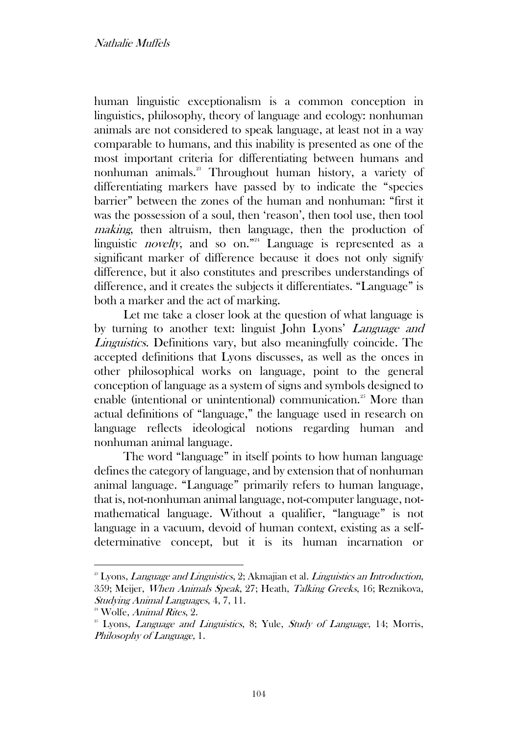human linguistic exceptionalism is a common conception in linguistics, philosophy, theory of language and ecology: nonhuman animals are not considered to speak language, at least not in a way comparable to humans, and this inability is presented as one of the most important criteria for differentiating between humans and nonhuman animals.<sup>23</sup> Throughout human history, a variety of differentiating markers have passed by to indicate the "species barrier" between the zones of the human and nonhuman: "first it was the possession of a soul, then 'reason', then tool use, then tool making, then altruism, then language, then the production of linguistic *novelty*, and so on."<sup>24</sup> Language is represented as a significant marker of difference because it does not only signify difference, but it also constitutes and prescribes understandings of difference, and it creates the subjects it differentiates. "Language" is both a marker and the act of marking.

Let me take a closer look at the question of what language is by turning to another text: linguist John Lyons' Language and Linguistics. Definitions vary, but also meaningfully coincide. The accepted definitions that Lyons discusses, as well as the onces in other philosophical works on language, point to the general conception of language as a system of signs and symbols designed to enable (intentional or unintentional) communication.<sup>25</sup> More than actual definitions of "language," the language used in research on language reflects ideological notions regarding human and nonhuman animal language.

The word "language" in itself points to how human language defines the category of language, and by extension that of nonhuman animal language. "Language" primarily refers to human language, that is, not-nonhuman animal language, not-computer language, notmathematical language. Without a qualifier, "language" is not language in a vacuum, devoid of human context, existing as a selfdeterminative concept, but it is its human incarnation or

 $2<sup>23</sup>$  Lyons, *Language and Linguistics*, 2; Akmajian et al. *Linguistics an Introduction*, 359; Meijer, When Animals Speak, 27; Heath, Talking Greeks, 16; Reznikova, Studying Animal Languages, 4, 7, 11.

<sup>&</sup>lt;sup>24</sup> Wolfe, *Animal Rites*, 2.

 $25$  Lyons, *Language and Linguistics*, 8; Yule, *Study of Language*, 14; Morris, Philosophy of Language, 1.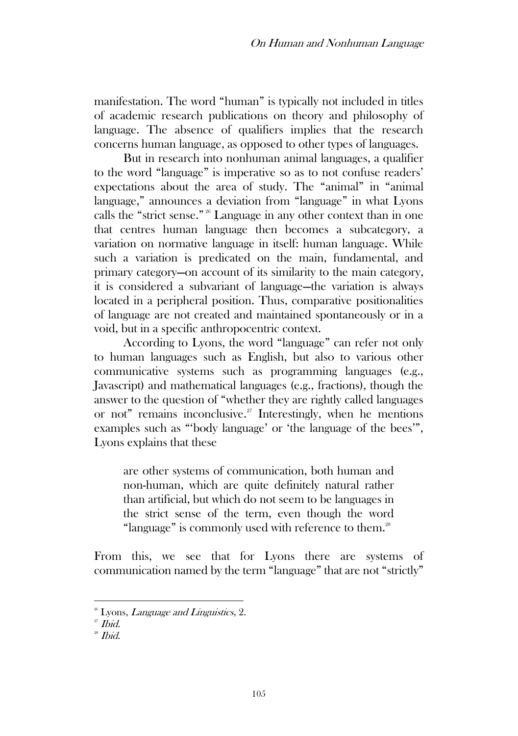manifestation. The word "human" is typically not included in titles of academic research publications on theory and philosophy of language. The absence of qualifiers implies that the research concerns human language, as opposed to other types of languages.

But in research into nonhuman animal languages, a qualifier to the word "language" is imperative so as to not confuse readers' expectations about the area of study. The "animal" in "animal language," announces a deviation from "language" in what Lyons calls the "strict sense." <sup>26</sup> Language in any other context than in one that centres human language then becomes a subcategory, a variation on normative language in itself: human language. While such a variation is predicated on the main, fundamental, and primary category—on account of its similarity to the main category, it is considered a subvariant of language—the variation is always located in a peripheral position. Thus, comparative positionalities of language are not created and maintained spontaneously or in a void, but in a specific anthropocentric context.

According to Lyons, the word "language" can refer not only to human languages such as English, but also to various other communicative systems such as programming languages (e.g., Javascript) and mathematical languages (e.g., fractions), though the answer to the question of "whether they are rightly called languages or not" remains inconclusive.<sup>27</sup> Interestingly, when he mentions examples such as "'body language' or 'the language of the bees'", Lyons explains that these

are other systems of communication, both human and non-human, which are quite definitely natural rather than artificial, but which do not seem to be languages in the strict sense of the term, even though the word "language" is commonly used with reference to them.<sup>28</sup>

From this, we see that for Lyons there are systems of communication named by the term "language" that are not "strictly"

 $26^{\circ}$  Lyons, *Language and Linguistics*, 2.

 $27$  *Ibid*.

 $28$  *Ibid.*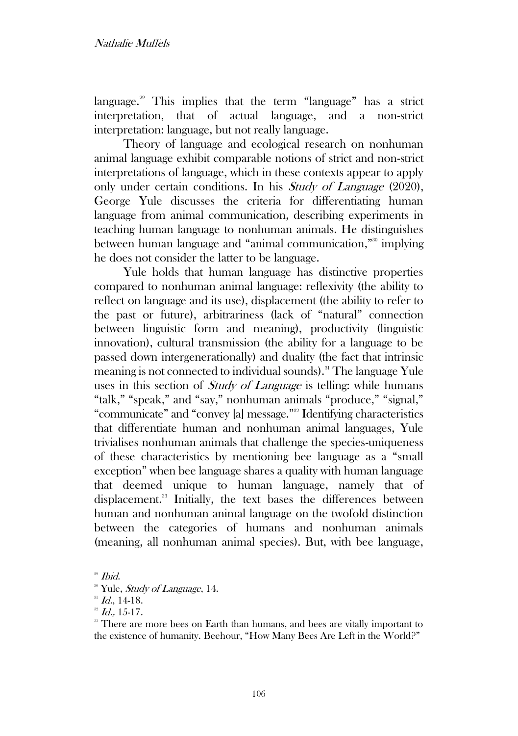language.<sup>29</sup> This implies that the term "language" has a strict interpretation, that of actual language, and a non-strict interpretation: language, but not really language.

Theory of language and ecological research on nonhuman animal language exhibit comparable notions of strict and non-strict interpretations of language, which in these contexts appear to apply only under certain conditions. In his Study of Language (2020), George Yule discusses the criteria for differentiating human language from animal communication, describing experiments in teaching human language to nonhuman animals. He distinguishes between human language and "animal communication," <sup>30</sup> implying he does not consider the latter to be language.

Yule holds that human language has distinctive properties compared to nonhuman animal language: reflexivity (the ability to reflect on language and its use), displacement (the ability to refer to the past or future), arbitrariness (lack of "natural" connection between linguistic form and meaning), productivity (linguistic innovation), cultural transmission (the ability for a language to be passed down intergenerationally) and duality (the fact that intrinsic meaning is not connected to individual sounds).<sup>31</sup> The language Yule uses in this section of *Study of Language* is telling: while humans "talk," "speak," and "say," nonhuman animals "produce," "signal," "communicate" and "convey [a] message."<sup>32</sup> Identifying characteristics that differentiate human and nonhuman animal languages, Yule trivialises nonhuman animals that challenge the species-uniqueness of these characteristics by mentioning bee language as a "small exception" when bee language shares a quality with human language that deemed unique to human language, namely that of displacement.<sup>33</sup> Initially, the text bases the differences between human and nonhuman animal language on the twofold distinction between the categories of humans and nonhuman animals (meaning, all nonhuman animal species). But, with bee language,

<sup>29</sup> Ibid.

<sup>&</sup>lt;sup>30</sup> Yule, *Study of Language*, 14.

 $^{31}$  Id., 14-18.

 $32$  Id., 15-17.

<sup>&</sup>lt;sup>33</sup> There are more bees on Earth than humans, and bees are vitally important to the existence of humanity. Beehour, "How Many Bees Are Left in the World?"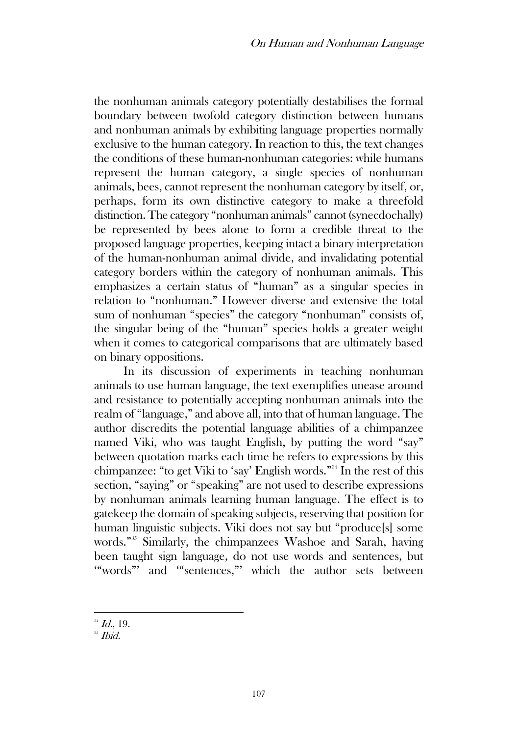the nonhuman animals category potentially destabilises the formal boundary between twofold category distinction between humans and nonhuman animals by exhibiting language properties normally exclusive to the human category. In reaction to this, the text changes the conditions of these human-nonhuman categories: while humans represent the human category, a single species of nonhuman animals, bees, cannot represent the nonhuman category by itself, or, perhaps, form its own distinctive category to make a threefold distinction. The category "nonhuman animals" cannot (synecdochally) be represented by bees alone to form a credible threat to the proposed language properties, keeping intact a binary interpretation of the human-nonhuman animal divide, and invalidating potential category borders within the category of nonhuman animals. This emphasizes a certain status of "human" as a singular species in relation to "nonhuman." However diverse and extensive the total sum of nonhuman "species" the category "nonhuman" consists of, the singular being of the "human" species holds a greater weight when it comes to categorical comparisons that are ultimately based on binary oppositions.

In its discussion of experiments in teaching nonhuman animals to use human language, the text exemplifies unease around and resistance to potentially accepting nonhuman animals into the realm of "language," and above all, into that of human language. The author discredits the potential language abilities of a chimpanzee named Viki, who was taught English, by putting the word "say" between quotation marks each time he refers to expressions by this chimpanzee: "to get Viki to 'say' English words."<sup>34</sup> In the rest of this section, "saying" or "speaking" are not used to describe expressions by nonhuman animals learning human language. The effect is to gatekeep the domain of speaking subjects, reserving that position for human linguistic subjects. Viki does not say but "produce[s] some words."<sup>35</sup> Similarly, the chimpanzees Washoe and Sarah, having been taught sign language, do not use words and sentences, but '"words"' and '"sentences,"' which the author sets between

 $^{34}$  *Id.*, 19.

<sup>&</sup>lt;sup>35</sup> Ibid.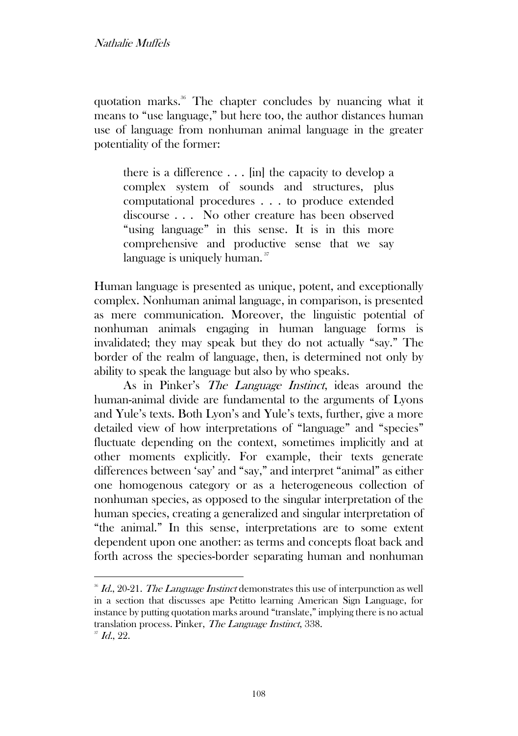quotation marks.<sup>36</sup> The chapter concludes by nuancing what it means to "use language," but here too, the author distances human use of language from nonhuman animal language in the greater potentiality of the former:

there is a difference . . . [in] the capacity to develop a complex system of sounds and structures, plus computational procedures . . . to produce extended discourse . . . No other creature has been observed "using language" in this sense. It is in this more comprehensive and productive sense that we say language is uniquely human.<sup>37</sup>

Human language is presented as unique, potent, and exceptionally complex. Nonhuman animal language, in comparison, is presented as mere communication. Moreover, the linguistic potential of nonhuman animals engaging in human language forms is invalidated; they may speak but they do not actually "say." The border of the realm of language, then, is determined not only by ability to speak the language but also by who speaks.

As in Pinker's The Language Instinct, ideas around the human-animal divide are fundamental to the arguments of Lyons and Yule's texts. Both Lyon's and Yule's texts, further, give a more detailed view of how interpretations of "language" and "species" fluctuate depending on the context, sometimes implicitly and at other moments explicitly. For example, their texts generate differences between 'say' and "say," and interpret "animal" as either one homogenous category or as a heterogeneous collection of nonhuman species, as opposed to the singular interpretation of the human species, creating a generalized and singular interpretation of "the animal." In this sense, interpretations are to some extent dependent upon one another: as terms and concepts float back and forth across the species-border separating human and nonhuman

 $\overline{36}$  Id., 20-21. The Language Instinct demonstrates this use of interpunction as well in a section that discusses ape Petitto learning American Sign Language, for instance by putting quotation marks around "translate," implying there is no actual translation process. Pinker, The Language Instinct, 338.  $\rm{H}$  Id., 22.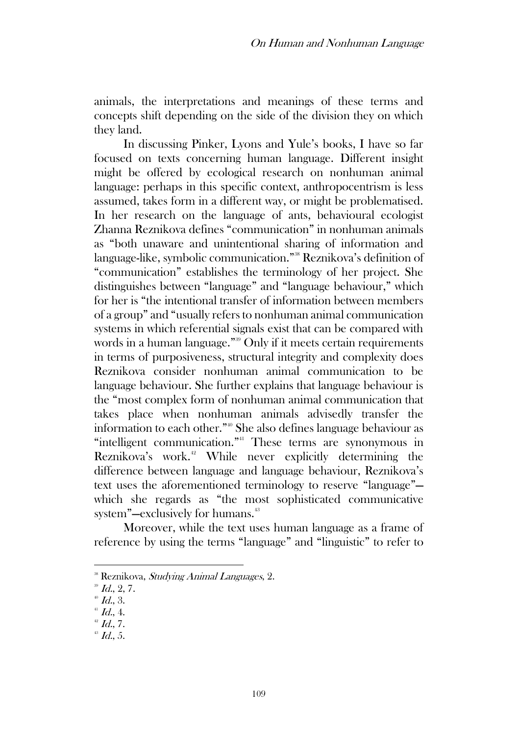animals, the interpretations and meanings of these terms and concepts shift depending on the side of the division they on which they land.

In discussing Pinker, Lyons and Yule's books, I have so far focused on texts concerning human language. Different insight might be offered by ecological research on nonhuman animal language: perhaps in this specific context, anthropocentrism is less assumed, takes form in a different way, or might be problematised. In her research on the language of ants, behavioural ecologist Zhanna Reznikova defines "communication" in nonhuman animals as "both unaware and unintentional sharing of information and language-like, symbolic communication."<sup>38</sup> Reznikova's definition of "communication" establishes the terminology of her project. She distinguishes between "language" and "language behaviour," which for her is "the intentional transfer of information between members of a group" and "usually refers to nonhuman animal communication systems in which referential signals exist that can be compared with words in a human language."<sup>39</sup> Only if it meets certain requirements in terms of purposiveness, structural integrity and complexity does Reznikova consider nonhuman animal communication to be language behaviour. She further explains that language behaviour is the "most complex form of nonhuman animal communication that takes place when nonhuman animals advisedly transfer the information to each other."<sup>40</sup> She also defines language behaviour as "intelligent communication."<sup>41</sup> These terms are synonymous in Reznikova's work.<sup>42</sup> While never explicitly determining the difference between language and language behaviour, Reznikova's text uses the aforementioned terminology to reserve "language" which she regards as "the most sophisticated communicative system"—exclusively for humans.<sup>43</sup>

Moreover, while the text uses human language as a frame of reference by using the terms "language" and "linguistic" to refer to

<sup>&</sup>lt;sup>38</sup> Reznikova, *Studying Animal Languages*, 2.

 $^{39}$  Id., 2, 7.

 $^{40}$  *Id.*, 3.

 $41$  Id., 4.

 $42$  Id., 7.

 $^{43}$  *Id.*, 5.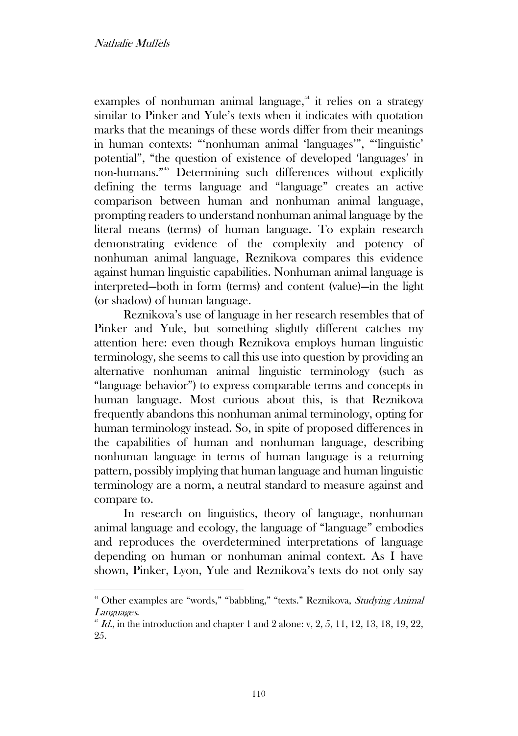examples of nonhuman animal language, $44$  it relies on a strategy similar to Pinker and Yule's texts when it indicates with quotation marks that the meanings of these words differ from their meanings in human contexts: "'nonhuman animal 'languages'", "'linguistic' potential", "the question of existence of developed 'languages' in non-humans." <sup>45</sup> Determining such differences without explicitly defining the terms language and "language" creates an active comparison between human and nonhuman animal language, prompting readers to understand nonhuman animal language by the literal means (terms) of human language. To explain research demonstrating evidence of the complexity and potency of nonhuman animal language, Reznikova compares this evidence against human linguistic capabilities. Nonhuman animal language is interpreted—both in form (terms) and content (value)—in the light (or shadow) of human language.

Reznikova's use of language in her research resembles that of Pinker and Yule, but something slightly different catches my attention here: even though Reznikova employs human linguistic terminology, she seems to call this use into question by providing an alternative nonhuman animal linguistic terminology (such as "language behavior") to express comparable terms and concepts in human language. Most curious about this, is that Reznikova frequently abandons this nonhuman animal terminology, opting for human terminology instead. So, in spite of proposed differences in the capabilities of human and nonhuman language, describing nonhuman language in terms of human language is a returning pattern, possibly implying that human language and human linguistic terminology are a norm, a neutral standard to measure against and compare to.

In research on linguistics, theory of language, nonhuman animal language and ecology, the language of "language" embodies and reproduces the overdetermined interpretations of language depending on human or nonhuman animal context. As I have shown, Pinker, Lyon, Yule and Reznikova's texts do not only say

<sup>&</sup>lt;sup>44</sup> Other examples are "words," "babbling," "texts." Reznikova, *Studying Animal* Languages.

 $^{45}$  *Id.*, in the introduction and chapter 1 and 2 alone: v, 2, 5, 11, 12, 13, 18, 19, 22, 25.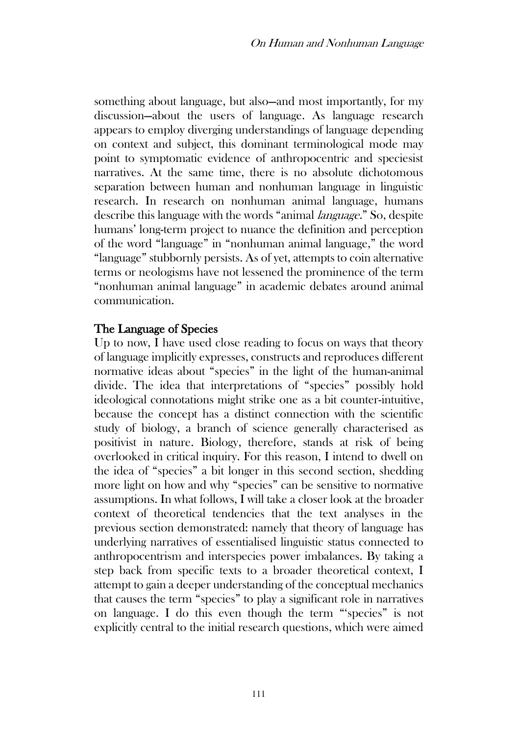something about language, but also—and most importantly, for my discussion—about the users of language. As language research appears to employ diverging understandings of language depending on context and subject, this dominant terminological mode may point to symptomatic evidence of anthropocentric and speciesist narratives. At the same time, there is no absolute dichotomous separation between human and nonhuman language in linguistic research. In research on nonhuman animal language, humans describe this language with the words "animal *language.*" So, despite humans' long-term project to nuance the definition and perception of the word "language" in "nonhuman animal language," the word "language" stubbornly persists. As of yet, attempts to coin alternative terms or neologisms have not lessened the prominence of the term "nonhuman animal language" in academic debates around animal communication.

### The Language of Species

Up to now, I have used close reading to focus on ways that theory of language implicitly expresses, constructs and reproduces different normative ideas about "species" in the light of the human-animal divide. The idea that interpretations of "species" possibly hold ideological connotations might strike one as a bit counter-intuitive, because the concept has a distinct connection with the scientific study of biology, a branch of science generally characterised as positivist in nature. Biology, therefore, stands at risk of being overlooked in critical inquiry. For this reason, I intend to dwell on the idea of "species" a bit longer in this second section, shedding more light on how and why "species" can be sensitive to normative assumptions. In what follows, I will take a closer look at the broader context of theoretical tendencies that the text analyses in the previous section demonstrated: namely that theory of language has underlying narratives of essentialised linguistic status connected to anthropocentrism and interspecies power imbalances. By taking a step back from specific texts to a broader theoretical context, I attempt to gain a deeper understanding of the conceptual mechanics that causes the term "species" to play a significant role in narratives on language. I do this even though the term "'species" is not explicitly central to the initial research questions, which were aimed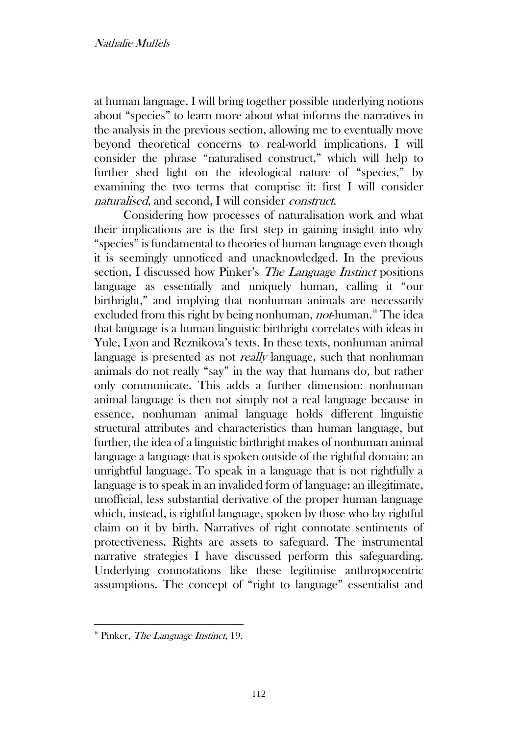at human language. I will bring together possible underlying notions about "species" to learn more about what informs the narratives in the analysis in the previous section, allowing me to eventually move beyond theoretical concerns to real-world implications. I will consider the phrase "naturalised construct," which will help to further shed light on the ideological nature of "species," by examining the two terms that comprise it: first I will consider naturalised, and second, I will consider construct.

Considering how processes of naturalisation work and what their implications are is the first step in gaining insight into why "species" is fundamental to theories of human language even though it is seemingly unnoticed and unacknowledged. In the previous section, I discussed how Pinker's The Language Instinct positions language as essentially and uniquely human, calling it "our birthright," and implying that nonhuman animals are necessarily excluded from this right by being nonhuman, *not*-human.<sup>46</sup> The idea that language is a human linguistic birthright correlates with ideas in Yule, Lyon and Reznikova's texts. In these texts, nonhuman animal language is presented as not *really* language, such that nonhuman animals do not really "say" in the way that humans do, but rather only communicate. This adds a further dimension: nonhuman animal language is then not simply not a real language because in essence, nonhuman animal language holds different linguistic structural attributes and characteristics than human language, but further, the idea of a linguistic birthright makes of nonhuman animal language a language that is spoken outside of the rightful domain: an unrightful language. To speak in a language that is not rightfully a language is to speak in an invalided form of language: an illegitimate, unofficial, less substantial derivative of the proper human language which, instead, is rightful language, spoken by those who lay rightful claim on it by birth. Narratives of right connotate sentiments of protectiveness. Rights are assets to safeguard. The instrumental narrative strategies I have discussed perform this safeguarding. Underlying connotations like these legitimise anthropocentric assumptions. The concept of "right to language" essentialist and

 $46$  Pinker, *The Language Instinct*, 19.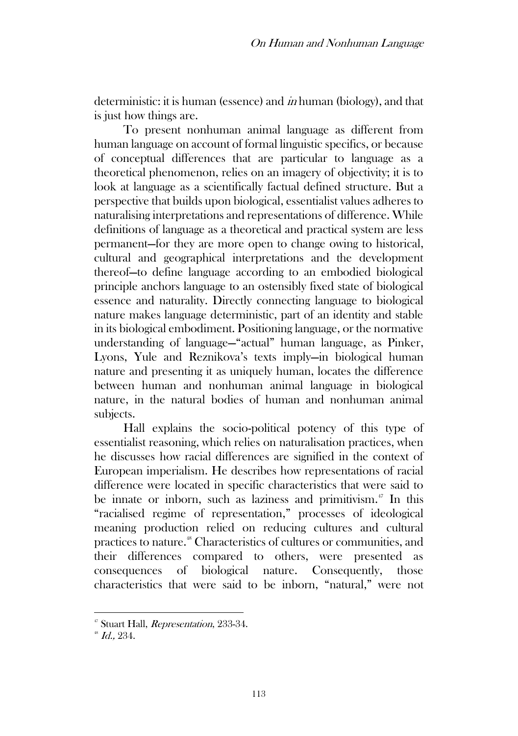deterministic: it is human (essence) and in human (biology), and that is just how things are.

To present nonhuman animal language as different from human language on account of formal linguistic specifics, or because of conceptual differences that are particular to language as a theoretical phenomenon, relies on an imagery of objectivity; it is to look at language as a scientifically factual defined structure. But a perspective that builds upon biological, essentialist values adheres to naturalising interpretations and representations of difference. While definitions of language as a theoretical and practical system are less permanent—for they are more open to change owing to historical, cultural and geographical interpretations and the development thereof—to define language according to an embodied biological principle anchors language to an ostensibly fixed state of biological essence and naturality. Directly connecting language to biological nature makes language deterministic, part of an identity and stable in its biological embodiment. Positioning language, or the normative understanding of language—"actual" human language, as Pinker, Lyons, Yule and Reznikova's texts imply—in biological human nature and presenting it as uniquely human, locates the difference between human and nonhuman animal language in biological nature, in the natural bodies of human and nonhuman animal subjects.

Hall explains the socio-political potency of this type of essentialist reasoning, which relies on naturalisation practices, when he discusses how racial differences are signified in the context of European imperialism. He describes how representations of racial difference were located in specific characteristics that were said to be innate or inborn, such as laziness and primitivism.<sup>47</sup> In this "racialised regime of representation," processes of ideological meaning production relied on reducing cultures and cultural practices to nature.<sup>48</sup> Characteristics of cultures or communities, and their differences compared to others, were presented as consequences of biological nature. Consequently, those characteristics that were said to be inborn, "natural," were not

<sup>&</sup>lt;sup>47</sup> Stuart Hall, *Representation*, 233-34.

 $^{48}$  *Id.*, 234.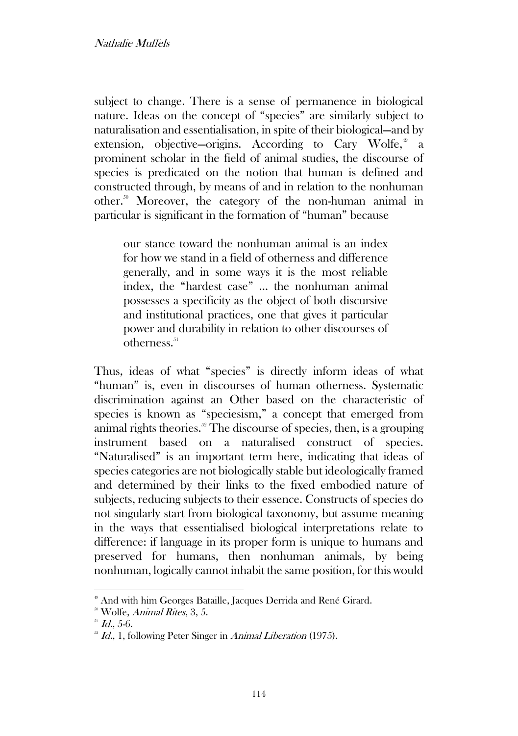subject to change. There is a sense of permanence in biological nature. Ideas on the concept of "species" are similarly subject to naturalisation and essentialisation, in spite of their biological—and by extension, objective–origins. According to Cary Wolfe,<sup>49</sup> a prominent scholar in the field of animal studies, the discourse of species is predicated on the notion that human is defined and constructed through, by means of and in relation to the nonhuman other.<sup>50</sup> Moreover, the category of the non-human animal in particular is significant in the formation of "human" because

our stance toward the nonhuman animal is an index for how we stand in a field of otherness and difference generally, and in some ways it is the most reliable index, the "hardest case" … the nonhuman animal possesses a specificity as the object of both discursive and institutional practices, one that gives it particular power and durability in relation to other discourses of  $otherness<sup>51</sup>$ 

Thus, ideas of what "species" is directly inform ideas of what "human" is, even in discourses of human otherness. Systematic discrimination against an Other based on the characteristic of species is known as "speciesism," a concept that emerged from animal rights theories.<sup>52</sup> The discourse of species, then, is a grouping instrument based on a naturalised construct of species. "Naturalised" is an important term here, indicating that ideas of species categories are not biologically stable but ideologically framed and determined by their links to the fixed embodied nature of subjects, reducing subjects to their essence. Constructs of species do not singularly start from biological taxonomy, but assume meaning in the ways that essentialised biological interpretations relate to difference: if language in its proper form is unique to humans and preserved for humans, then nonhuman animals, by being nonhuman, logically cannot inhabit the same position, for this would

<sup>&</sup>lt;sup>49</sup> And with him Georges Bataille, Jacques Derrida and René Girard.

<sup>&</sup>lt;sup>50</sup> Wolfe, Animal Rites, 3, 5.

 $^{51}$  *Id.*, 5-6.

 $^{52}$  *Id.*, 1, following Peter Singer in Animal Liberation (1975).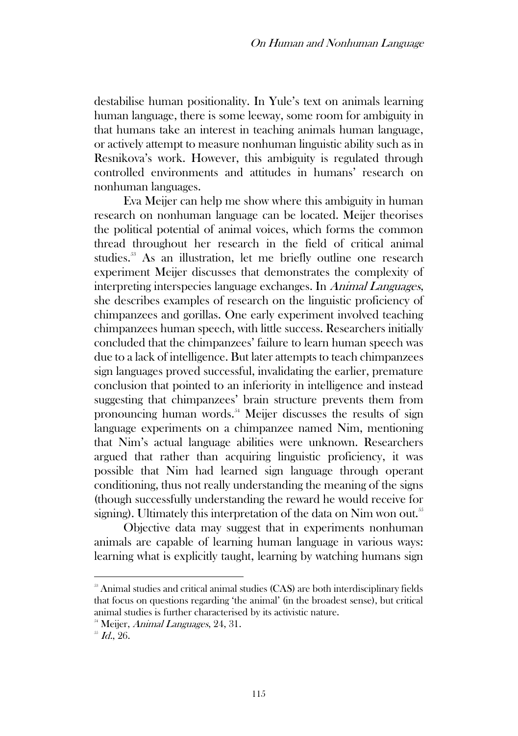destabilise human positionality. In Yule's text on animals learning human language, there is some leeway, some room for ambiguity in that humans take an interest in teaching animals human language, or actively attempt to measure nonhuman linguistic ability such as in Resnikova's work. However, this ambiguity is regulated through controlled environments and attitudes in humans' research on nonhuman languages.

Eva Meijer can help me show where this ambiguity in human research on nonhuman language can be located. Meijer theorises the political potential of animal voices, which forms the common thread throughout her research in the field of critical animal studies.<sup>53</sup> As an illustration, let me briefly outline one research experiment Meijer discusses that demonstrates the complexity of interpreting interspecies language exchanges. In Animal Languages, she describes examples of research on the linguistic proficiency of chimpanzees and gorillas. One early experiment involved teaching chimpanzees human speech, with little success. Researchers initially concluded that the chimpanzees' failure to learn human speech was due to a lack of intelligence. But later attempts to teach chimpanzees sign languages proved successful, invalidating the earlier, premature conclusion that pointed to an inferiority in intelligence and instead suggesting that chimpanzees' brain structure prevents them from pronouncing human words.<sup>54</sup> Meijer discusses the results of sign language experiments on a chimpanzee named Nim, mentioning that Nim's actual language abilities were unknown. Researchers argued that rather than acquiring linguistic proficiency, it was possible that Nim had learned sign language through operant conditioning, thus not really understanding the meaning of the signs (though successfully understanding the reward he would receive for signing). Ultimately this interpretation of the data on Nim won out.<sup>55</sup>

Objective data may suggest that in experiments nonhuman animals are capable of learning human language in various ways: learning what is explicitly taught, learning by watching humans sign

<sup>&</sup>lt;sup>33</sup> Animal studies and critical animal studies (CAS) are both interdisciplinary fields that focus on questions regarding 'the animal' (in the broadest sense), but critical animal studies is further characterised by its activistic nature.

<sup>&</sup>lt;sup>54</sup> Meijer, *Animal Languages*, 24, 31.

 $^{55}$  *Id.*, 26.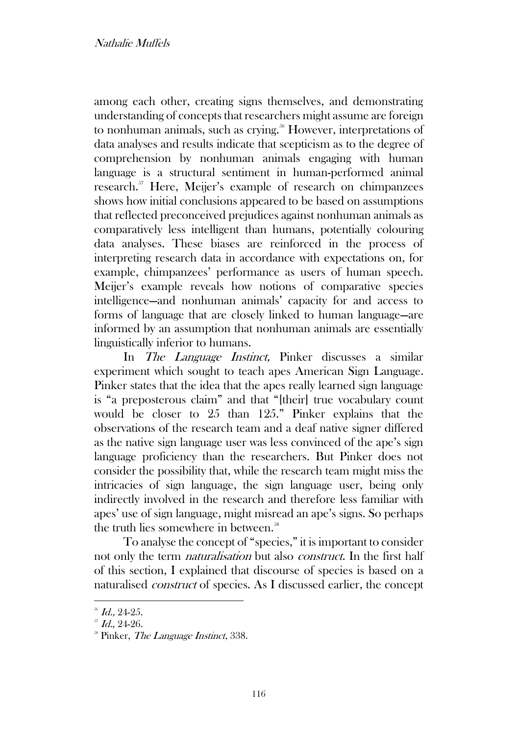among each other, creating signs themselves, and demonstrating understanding of concepts that researchers might assume are foreign to nonhuman animals, such as crying.<sup>56</sup> However, interpretations of data analyses and results indicate that scepticism as to the degree of comprehension by nonhuman animals engaging with human language is a structural sentiment in human-performed animal research.<sup>57</sup> Here, Meijer's example of research on chimpanzees shows how initial conclusions appeared to be based on assumptions that reflected preconceived prejudices against nonhuman animals as comparatively less intelligent than humans, potentially colouring data analyses. These biases are reinforced in the process of interpreting research data in accordance with expectations on, for example, chimpanzees' performance as users of human speech. Meijer's example reveals how notions of comparative species intelligence—and nonhuman animals' capacity for and access to forms of language that are closely linked to human language—are informed by an assumption that nonhuman animals are essentially linguistically inferior to humans.

In The Language Instinct, Pinker discusses a similar experiment which sought to teach apes American Sign Language. Pinker states that the idea that the apes really learned sign language is "a preposterous claim" and that "[their] true vocabulary count would be closer to 25 than 125." Pinker explains that the observations of the research team and a deaf native signer differed as the native sign language user was less convinced of the ape's sign language proficiency than the researchers. But Pinker does not consider the possibility that, while the research team might miss the intricacies of sign language, the sign language user, being only indirectly involved in the research and therefore less familiar with apes' use of sign language, might misread an ape's signs. So perhaps the truth lies somewhere in between.<sup>58</sup>

To analyse the concept of "species," it is important to consider not only the term naturalisation but also construct. In the first half of this section, I explained that discourse of species is based on a naturalised construct of species. As I discussed earlier, the concept

 $56$  Id., 24-25.

 $Jd$ , 24-26.

<sup>&</sup>lt;sup>58</sup> Pinker, *The Language Instinct*, 338.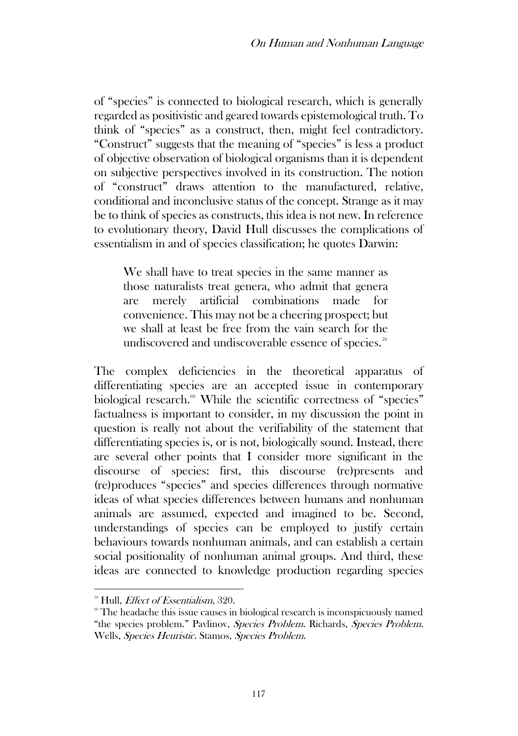of "species" is connected to biological research, which is generally regarded as positivistic and geared towards epistemological truth. To think of "species" as a construct, then, might feel contradictory. "Construct" suggests that the meaning of "species" is less a product of objective observation of biological organisms than it is dependent on subjective perspectives involved in its construction. The notion of "construct" draws attention to the manufactured, relative, conditional and inconclusive status of the concept. Strange as it may be to think of species as constructs, this idea is not new. In reference to evolutionary theory, David Hull discusses the complications of essentialism in and of species classification; he quotes Darwin:

We shall have to treat species in the same manner as those naturalists treat genera, who admit that genera are merely artificial combinations made for convenience. This may not be a cheering prospect; but we shall at least be free from the vain search for the undiscovered and undiscoverable essence of species.<sup>59</sup>

The complex deficiencies in the theoretical apparatus of differentiating species are an accepted issue in contemporary biological research.<sup>60</sup> While the scientific correctness of "species" factualness is important to consider, in my discussion the point in question is really not about the verifiability of the statement that differentiating species is, or is not, biologically sound. Instead, there are several other points that I consider more significant in the discourse of species: first, this discourse (re)presents and (re)produces "species" and species differences through normative ideas of what species differences between humans and nonhuman animals are assumed, expected and imagined to be. Second, understandings of species can be employed to justify certain behaviours towards nonhuman animals, and can establish a certain social positionality of nonhuman animal groups. And third, these ideas are connected to knowledge production regarding species

<sup>&</sup>lt;sup>59</sup> Hull, *Effect of Essentialism*, 320.

 $^{\circ\circ}$  The headache this issue causes in biological research is inconspicuously named "the species problem." Pavlinov, Species Problem. Richards, Species Problem. Wells, Species Heuristic. Stamos, Species Problem.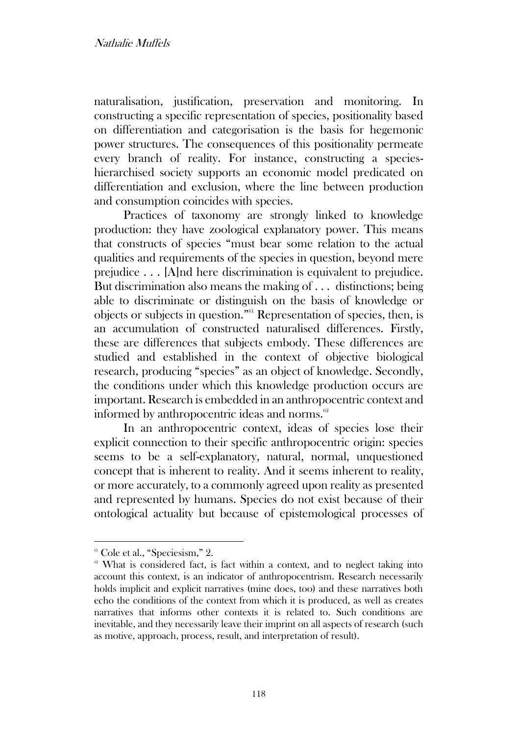naturalisation, justification, preservation and monitoring. In constructing a specific representation of species, positionality based on differentiation and categorisation is the basis for hegemonic power structures. The consequences of this positionality permeate every branch of reality. For instance, constructing a specieshierarchised society supports an economic model predicated on differentiation and exclusion, where the line between production and consumption coincides with species.

Practices of taxonomy are strongly linked to knowledge production: they have zoological explanatory power. This means that constructs of species "must bear some relation to the actual qualities and requirements of the species in question, beyond mere prejudice . . . [A]nd here discrimination is equivalent to prejudice. But discrimination also means the making of . . . distinctions; being able to discriminate or distinguish on the basis of knowledge or objects or subjects in question."<sup>61</sup> Representation of species, then, is an accumulation of constructed naturalised differences. Firstly, these are differences that subjects embody. These differences are studied and established in the context of objective biological research, producing "species" as an object of knowledge. Secondly, the conditions under which this knowledge production occurs are important. Research is embedded in an anthropocentric context and informed by anthropocentric ideas and norms.<sup>62</sup>

In an anthropocentric context, ideas of species lose their explicit connection to their specific anthropocentric origin: species seems to be a self-explanatory, natural, normal, unquestioned concept that is inherent to reality. And it seems inherent to reality, or more accurately, to a commonly agreed upon reality as presented and represented by humans. Species do not exist because of their ontological actuality but because of epistemological processes of

 $61$  Cole et al., "Speciesism," 2.

<sup>&</sup>lt;sup>62</sup> What is considered fact, is fact within a context, and to neglect taking into account this context, is an indicator of anthropocentrism. Research necessarily holds implicit and explicit narratives (mine does, too) and these narratives both echo the conditions of the context from which it is produced, as well as creates narratives that informs other contexts it is related to. Such conditions are inevitable, and they necessarily leave their imprint on all aspects of research (such as motive, approach, process, result, and interpretation of result).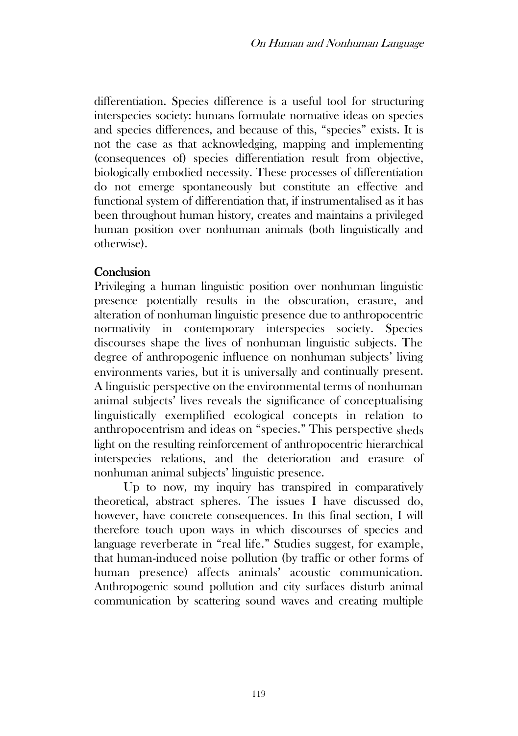differentiation. Species difference is a useful tool for structuring interspecies society: humans formulate normative ideas on species and species differences, and because of this, "species" exists. It is not the case as that acknowledging, mapping and implementing (consequences of) species differentiation result from objective, biologically embodied necessity. These processes of differentiation do not emerge spontaneously but constitute an effective and functional system of differentiation that, if instrumentalised as it has been throughout human history, creates and maintains a privileged human position over nonhuman animals (both linguistically and otherwise).

## **Conclusion**

Privileging a human linguistic position over nonhuman linguistic presence potentially results in the obscuration, erasure, and alteration of nonhuman linguistic presence due to anthropocentric normativity in contemporary interspecies society. Species discourses shape the lives of nonhuman linguistic subjects. The degree of anthropogenic influence on nonhuman subjects' living environments varies, but it is universally and continually present. A linguistic perspective on the environmental terms of nonhuman animal subjects' lives reveals the significance of conceptualising linguistically exemplified ecological concepts in relation to anthropocentrism and ideas on "species." This perspective sheds light on the resulting reinforcement of anthropocentric hierarchical interspecies relations, and the deterioration and erasure of nonhuman animal subjects' linguistic presence.

Up to now, my inquiry has transpired in comparatively theoretical, abstract spheres. The issues I have discussed do, however, have concrete consequences. In this final section, I will therefore touch upon ways in which discourses of species and language reverberate in "real life." Studies suggest, for example, that human-induced noise pollution (by traffic or other forms of human presence) affects animals' acoustic communication. Anthropogenic sound pollution and city surfaces disturb animal communication by scattering sound waves and creating multiple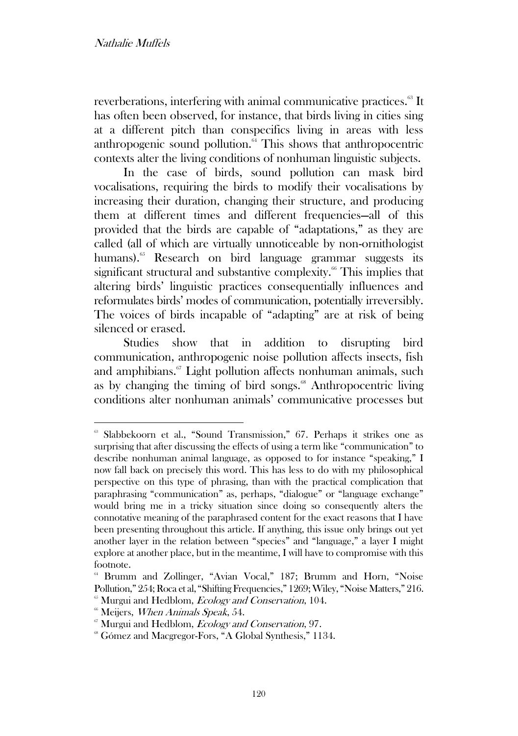reverberations, interfering with animal communicative practices.<sup>63</sup> It has often been observed, for instance, that birds living in cities sing at a different pitch than conspecifics living in areas with less anthropogenic sound pollution. $64$  This shows that anthropocentric contexts alter the living conditions of nonhuman linguistic subjects.

In the case of birds, sound pollution can mask bird vocalisations, requiring the birds to modify their vocalisations by increasing their duration, changing their structure, and producing them at different times and different frequencies—all of this provided that the birds are capable of "adaptations," as they are called (all of which are virtually unnoticeable by non-ornithologist humans).<sup>65</sup> Research on bird language grammar suggests its significant structural and substantive complexity.<sup>66</sup> This implies that altering birds' linguistic practices consequentially influences and reformulates birds' modes of communication, potentially irreversibly. The voices of birds incapable of "adapting" are at risk of being silenced or erased.

Studies show that in addition to disrupting bird communication, anthropogenic noise pollution affects insects, fish and amphibians.<sup>67</sup> Light pollution affects nonhuman animals, such as by changing the timing of bird songs. $68$  Anthropocentric living conditions alter nonhuman animals' communicative processes but

<sup>&</sup>lt;sup>63</sup> Slabbekoorn et al., "Sound Transmission," 67. Perhaps it strikes one as surprising that after discussing the effects of using a term like "communication" to describe nonhuman animal language, as opposed to for instance "speaking," I now fall back on precisely this word. This has less to do with my philosophical perspective on this type of phrasing, than with the practical complication that paraphrasing "communication" as, perhaps, "dialogue" or "language exchange" would bring me in a tricky situation since doing so consequently alters the connotative meaning of the paraphrased content for the exact reasons that I have been presenting throughout this article. If anything, this issue only brings out yet another layer in the relation between "species" and "language," a layer I might explore at another place, but in the meantime, I will have to compromise with this footnote.

<sup>64</sup> Brumm and Zollinger, "Avian Vocal," 187; Brumm and Horn, "Noise Pollution," 254; Roca et al, "Shifting Frequencies," 1269; Wiley, "Noise Matters," 216. <sup>65</sup> Murgui and Hedblom, *Ecology and Conservation*, 104.

<sup>&</sup>lt;sup>66</sup> Meijers, When Animals Speak, 54.

 $\degree$  Murgui and Hedblom, *Ecology and Conservation*, 97.

<sup>68</sup> Gómez and Macgregor-Fors, "A Global Synthesis," 1134.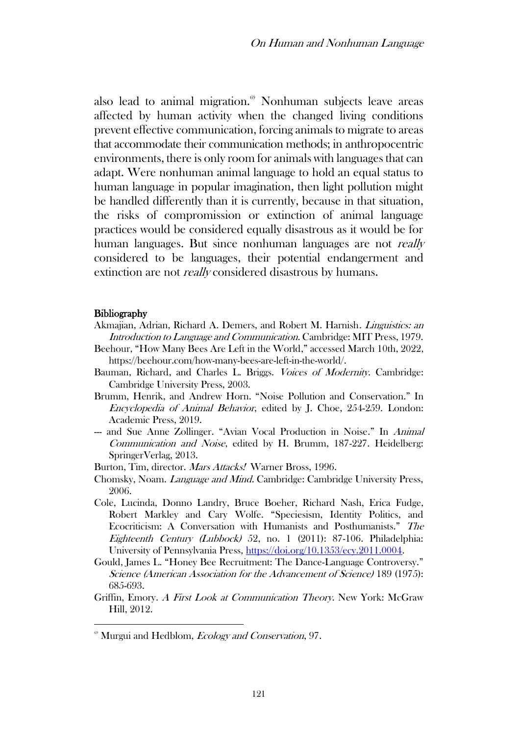also lead to animal migration.<sup>69</sup> Nonhuman subjects leave areas affected by human activity when the changed living conditions prevent effective communication, forcing animals to migrate to areas that accommodate their communication methods; in anthropocentric environments, there is only room for animals with languages that can adapt. Were nonhuman animal language to hold an equal status to human language in popular imagination, then light pollution might be handled differently than it is currently, because in that situation, the risks of compromission or extinction of animal language practices would be considered equally disastrous as it would be for human languages. But since nonhuman languages are not *really* considered to be languages, their potential endangerment and extinction are not *really* considered disastrous by humans.

#### **Bibliography**

- Akmajian, Adrian, Richard A. Demers, and Robert M. Harnish. Linguistics: an Introduction to Language and Communication. Cambridge: MIT Press, 1979.
- Beehour, "How Many Bees Are Left in the World," accessed March 10th, 2022, https://beehour.com/how-many-bees-are-left-in-the-world/.
- Bauman, Richard, and Charles L. Briggs. Voices of Modernity. Cambridge: Cambridge University Press, 2003.
- Brumm, Henrik, and Andrew Horn. "Noise Pollution and Conservation." In Encyclopedia of Animal Behavior, edited by J. Choe, 254-259. London: Academic Press, 2019.
- -- and Sue Anne Zollinger. "Avian Vocal Production in Noise." In Animal Communication and Noise, edited by H. Brumm, 187-227. Heidelberg: SpringerVerlag, 2013.
- Burton, Tim, director. Mars Attacks! Warner Bross, 1996.
- Chomsky, Noam. Language and Mind. Cambridge: Cambridge University Press, 2006.
- Cole, Lucinda, Donno Landry, Bruce Boeher, Richard Nash, Erica Fudge, Robert Markley and Cary Wolfe. "Speciesism, Identity Politics, and Ecocriticism: A Conversation with Humanists and Posthumanists." The Eighteenth Century (Lubbock) 52, no. 1 (2011): 87-106. Philadelphia: University of Pennsylvania Press, [https://doi.org/10.1353/ecy.2011.0004.](https://doi.org/10.1353/ecy.2011.0004)
- Gould, James L. "Honey Bee Recruitment: The Dance-Language Controversy." Science (American Association for the Advancement of Science) 189 (1975): 685-693.
- Griffin, Emory. A First Look at Communication Theory. New York: McGraw Hill, 2012.

<sup>&</sup>lt;sup>69</sup> Murgui and Hedblom, *Ecology and Conservation*, 97.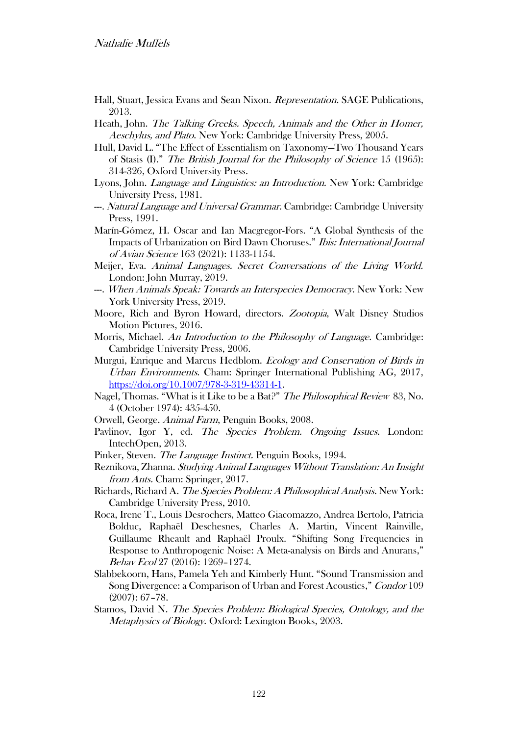- Hall, Stuart, Jessica Evans and Sean Nixon. Representation. SAGE Publications, 2013.
- Heath, John. The Talking Greeks. Speech, Animals and the Other in Homer, Aeschylus, and Plato. New York: Cambridge University Press, 2005.
- Hull, David L. "The Effect of Essentialism on Taxonomy—Two Thousand Years of Stasis (I)." The British Journal for the Philosophy of Science 15 (1965): 314-326, Oxford University Press.
- Lyons, John. Language and Linguistics: an Introduction. New York: Cambridge University Press, 1981.
- ---. Natural Language and Universal Grammar. Cambridge: Cambridge University Press, 1991.
- Marín-Gómez, H. Oscar and Ian Macgregor-Fors. "A Global Synthesis of the Impacts of Urbanization on Bird Dawn Choruses." Ibis: International Journal of Avian Science 163 (2021): 1133-1154.
- Meijer, Eva. Animal Languages. Secret Conversations of the Living World. London: John Murray, 2019.
- --. When Animals Speak: Towards an Interspecies Democracy. New York: New York University Press, 2019.
- Moore, Rich and Byron Howard, directors. Zootopia, Walt Disney Studios Motion Pictures, 2016.
- Morris, Michael. An Introduction to the Philosophy of Language. Cambridge: Cambridge University Press, 2006.
- Murgui, Enrique and Marcus Hedblom. *Ecology and Conservation of Birds in* Urban Environments. Cham: Springer International Publishing AG, 2017, [https://doi.org/10.1007/978-3-319-43314-1.](https://doi.org/10.1007/978-3-319-43314-1)
- Nagel, Thomas. "What is it Like to be a Bat?" The Philosophical Review 83, No. 4 (October 1974): 435-450.
- Orwell, George. Animal Farm, Penguin Books, 2008.
- Pavlinov, Igor Y, ed. The Species Problem. Ongoing Issues. London: IntechOpen, 2013.
- Pinker, Steven. The Language Instinct. Penguin Books, 1994.
- Reznikova, Zhanna. Studying Animal Languages Without Translation: An Insight from Ants. Cham: Springer, 2017.
- Richards, Richard A. The Species Problem: A Philosophical Analysis. New York: Cambridge University Press, 2010.
- Roca, Irene T., Louis Desrochers, Matteo Giacomazzo, Andrea Bertolo, Patricia Bolduc, Raphaël Deschesnes, Charles A. Martin, Vincent Rainville, Guillaume Rheault and Raphaël Proulx. "Shifting Song Frequencies in Response to Anthropogenic Noise: A Meta-analysis on Birds and Anurans," Behav Ecol 27 (2016): 1269–1274.
- Slabbekoorn, Hans, Pamela Yeh and Kimberly Hunt. "Sound Transmission and Song Divergence: a Comparison of Urban and Forest Acoustics," Condor 109 (2007): 67–78.
- Stamos, David N. The Species Problem: Biological Species, Ontology, and the Metaphysics of Biology. Oxford: Lexington Books, 2003.